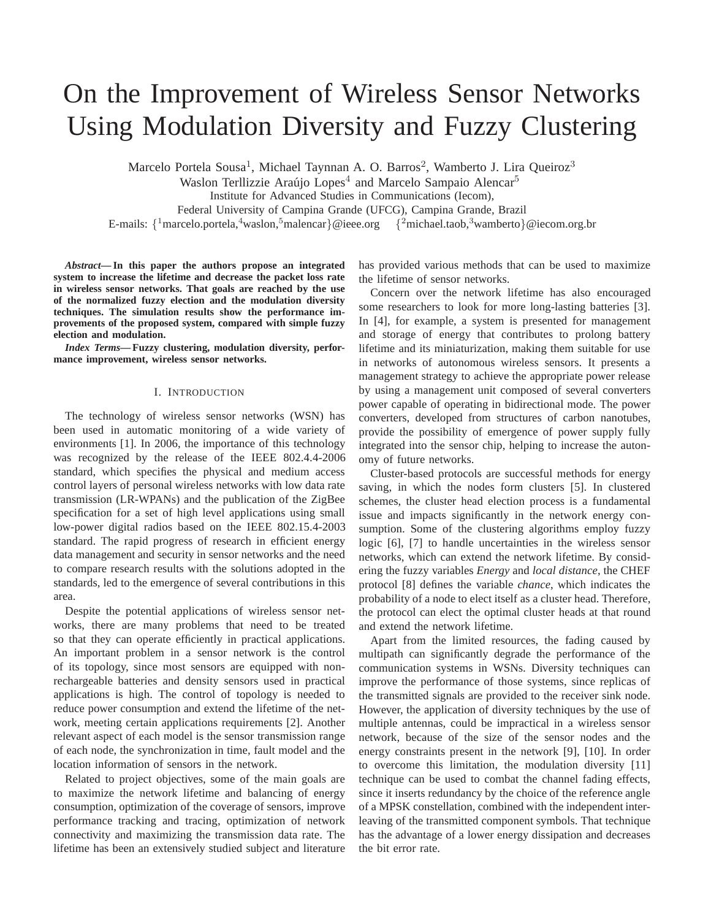# On the Improvement of Wireless Sensor Networks Using Modulation Diversity and Fuzzy Clustering

Marcelo Portela Sousa<sup>1</sup>, Michael Taynnan A. O. Barros<sup>2</sup>, Wamberto J. Lira Queiroz<sup>3</sup>

Waslon Terllizzie Araújo Lopes<sup>4</sup> and Marcelo Sampaio Alencar<sup>5</sup>

Institute for Advanced Studies in Communications (Iecom),

Federal University of Campina Grande (UFCG), Campina Grande, Brazil

E-mails:  $\{^1$ marcelo.portela, $^4$ waslon, $^5$ malencar $\}$ @ieee.org  $\{^2$ michael.taob, $^3$ wamberto $\}$ @iecom.org.br

*Abstract***— In this paper the authors propose an integrated system to increase the lifetime and decrease the packet loss rate in wireless sensor networks. That goals are reached by the use of the normalized fuzzy election and the modulation diversity techniques. The simulation results show the performance improvements of the proposed system, compared with simple fuzzy election and modulation.**

*Index Terms***— Fuzzy clustering, modulation diversity, performance improvement, wireless sensor networks.**

## I. INTRODUCTION

The technology of wireless sensor networks (WSN) has been used in automatic monitoring of a wide variety of environments [1]. In 2006, the importance of this technology was recognized by the release of the IEEE 802.4.4-2006 standard, which specifies the physical and medium access control layers of personal wireless networks with low data rate transmission (LR-WPANs) and the publication of the ZigBee specification for a set of high level applications using small low-power digital radios based on the IEEE 802.15.4-2003 standard. The rapid progress of research in efficient energy data management and security in sensor networks and the need to compare research results with the solutions adopted in the standards, led to the emergence of several contributions in this area.

Despite the potential applications of wireless sensor networks, there are many problems that need to be treated so that they can operate efficiently in practical applications. An important problem in a sensor network is the control of its topology, since most sensors are equipped with nonrechargeable batteries and density sensors used in practical applications is high. The control of topology is needed to reduce power consumption and extend the lifetime of the network, meeting certain applications requirements [2]. Another relevant aspect of each model is the sensor transmission range of each node, the synchronization in time, fault model and the location information of sensors in the network.

Related to project objectives, some of the main goals are to maximize the network lifetime and balancing of energy consumption, optimization of the coverage of sensors, improve performance tracking and tracing, optimization of network connectivity and maximizing the transmission data rate. The lifetime has been an extensively studied subject and literature

has provided various methods that can be used to maximize the lifetime of sensor networks.

Concern over the network lifetime has also encouraged some researchers to look for more long-lasting batteries [3]. In [4], for example, a system is presented for management and storage of energy that contributes to prolong battery lifetime and its miniaturization, making them suitable for use in networks of autonomous wireless sensors. It presents a management strategy to achieve the appropriate power release by using a management unit composed of several converters power capable of operating in bidirectional mode. The power converters, developed from structures of carbon nanotubes, provide the possibility of emergence of power supply fully integrated into the sensor chip, helping to increase the autonomy of future networks.

Cluster-based protocols are successful methods for energy saving, in which the nodes form clusters [5]. In clustered schemes, the cluster head election process is a fundamental issue and impacts significantly in the network energy consumption. Some of the clustering algorithms employ fuzzy logic [6], [7] to handle uncertainties in the wireless sensor networks, which can extend the network lifetime. By considering the fuzzy variables *Energy* and *local distance*, the CHEF protocol [8] defines the variable *chance*, which indicates the probability of a node to elect itself as a cluster head. Therefore, the protocol can elect the optimal cluster heads at that round and extend the network lifetime.

Apart from the limited resources, the fading caused by multipath can significantly degrade the performance of the communication systems in WSNs. Diversity techniques can improve the performance of those systems, since replicas of the transmitted signals are provided to the receiver sink node. However, the application of diversity techniques by the use of multiple antennas, could be impractical in a wireless sensor network, because of the size of the sensor nodes and the energy constraints present in the network [9], [10]. In order to overcome this limitation, the modulation diversity [11] technique can be used to combat the channel fading effects, since it inserts redundancy by the choice of the reference angle of a MPSK constellation, combined with the independent interleaving of the transmitted component symbols. That technique has the advantage of a lower energy dissipation and decreases the bit error rate.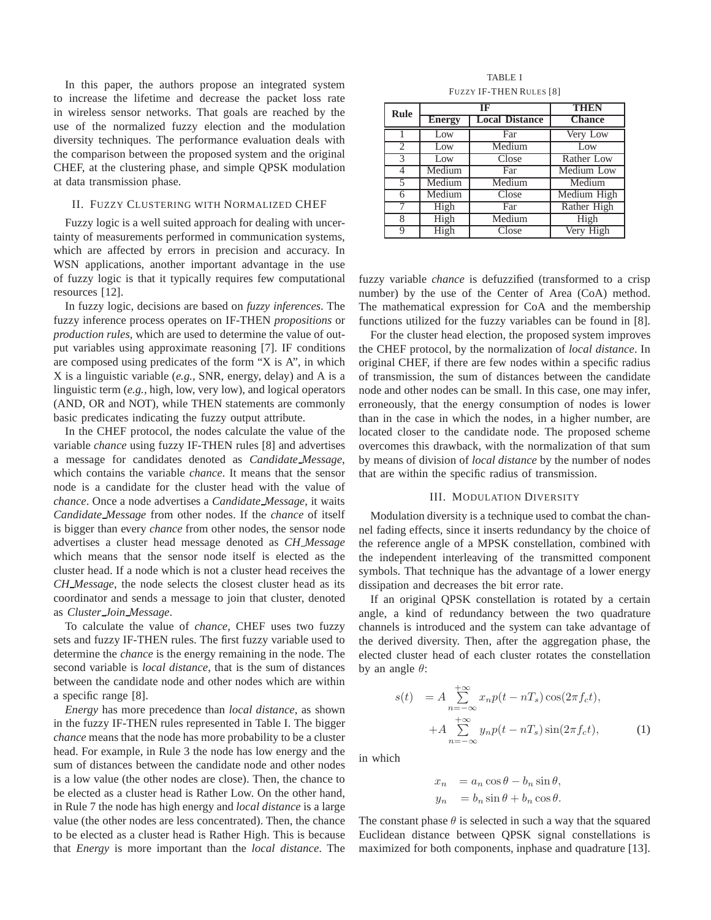In this paper, the authors propose an integrated system to increase the lifetime and decrease the packet loss rate in wireless sensor networks. That goals are reached by the use of the normalized fuzzy election and the modulation diversity techniques. The performance evaluation deals with the comparison between the proposed system and the original CHEF, at the clustering phase, and simple QPSK modulation at data transmission phase.

## II. FUZZY CLUSTERING WITH NORMALIZED CHEF

Fuzzy logic is a well suited approach for dealing with uncertainty of measurements performed in communication systems, which are affected by errors in precision and accuracy. In WSN applications, another important advantage in the use of fuzzy logic is that it typically requires few computational resources [12].

In fuzzy logic, decisions are based on *fuzzy inferences*. The fuzzy inference process operates on IF-THEN *propositions* or *production rules*, which are used to determine the value of output variables using approximate reasoning [7]. IF conditions are composed using predicates of the form "X is A", in which X is a linguistic variable (*e.g.,* SNR, energy, delay) and A is a linguistic term (*e.g.,* high, low, very low), and logical operators (AND, OR and NOT), while THEN statements are commonly basic predicates indicating the fuzzy output attribute.

In the CHEF protocol, the nodes calculate the value of the variable *chance* using fuzzy IF-THEN rules [8] and advertises a message for candidates denoted as *Candidate Message*, which contains the variable *chance*. It means that the sensor node is a candidate for the cluster head with the value of *chance*. Once a node advertises a *Candidate Message*, it waits *Candidate Message* from other nodes. If the *chance* of itself is bigger than every *chance* from other nodes, the sensor node advertises a cluster head message denoted as *CH Message* which means that the sensor node itself is elected as the cluster head. If a node which is not a cluster head receives the *CH Message*, the node selects the closest cluster head as its coordinator and sends a message to join that cluster, denoted as *Cluster Join Message*.

To calculate the value of *chance*, CHEF uses two fuzzy sets and fuzzy IF-THEN rules. The first fuzzy variable used to determine the *chance* is the energy remaining in the node. The second variable is *local distance*, that is the sum of distances between the candidate node and other nodes which are within a specific range [8].

*Energy* has more precedence than *local distance*, as shown in the fuzzy IF-THEN rules represented in Table I. The bigger *chance* means that the node has more probability to be a cluster head. For example, in Rule 3 the node has low energy and the sum of distances between the candidate node and other nodes is a low value (the other nodes are close). Then, the chance to be elected as a cluster head is Rather Low. On the other hand, in Rule 7 the node has high energy and *local distance* is a large value (the other nodes are less concentrated). Then, the chance to be elected as a cluster head is Rather High. This is because that *Energy* is more important than the *local distance*. The

| <b>TABLE I</b>                 |
|--------------------------------|
| <b>FUZZY IF-THEN RULES [8]</b> |

| Rule                     | $\overline{\text{IF}}$ |                       | THEN          |
|--------------------------|------------------------|-----------------------|---------------|
|                          | <b>Energy</b>          | <b>Local Distance</b> | <b>Chance</b> |
|                          | Low                    | Far                   | Very Low      |
| 2                        | Low                    | Medium                | Low           |
| $\mathcal{R}$            | Low                    | Close                 | Rather Low    |
| $\overline{4}$           | Medium                 | Far                   | Medium Low    |
| $\overline{\phantom{1}}$ | Medium                 | Medium                | Medium        |
| 6                        | Medium                 | Close                 | Medium High   |
| 7                        | High                   | Far                   | Rather High   |
| 8                        | High                   | Medium                | High          |
| Q                        | High                   | Close                 | Very High     |

fuzzy variable *chance* is defuzzified (transformed to a crisp number) by the use of the Center of Area (CoA) method. The mathematical expression for CoA and the membership functions utilized for the fuzzy variables can be found in [8].

For the cluster head election, the proposed system improves the CHEF protocol, by the normalization of *local distance*. In original CHEF, if there are few nodes within a specific radius of transmission, the sum of distances between the candidate node and other nodes can be small. In this case, one may infer, erroneously, that the energy consumption of nodes is lower than in the case in which the nodes, in a higher number, are located closer to the candidate node. The proposed scheme overcomes this drawback, with the normalization of that sum by means of division of *local distance* by the number of nodes that are within the specific radius of transmission.

#### III. MODULATION DIVERSITY

Modulation diversity is a technique used to combat the channel fading effects, since it inserts redundancy by the choice of the reference angle of a MPSK constellation, combined with the independent interleaving of the transmitted component symbols. That technique has the advantage of a lower energy dissipation and decreases the bit error rate.

If an original QPSK constellation is rotated by a certain angle, a kind of redundancy between the two quadrature channels is introduced and the system can take advantage of the derived diversity. Then, after the aggregation phase, the elected cluster head of each cluster rotates the constellation by an angle  $\theta$ :

$$
s(t) = A \sum_{n=-\infty}^{+\infty} x_n p(t - nT_s) \cos(2\pi f_c t),
$$
  
+ 
$$
A \sum_{n=-\infty}^{+\infty} y_n p(t - nT_s) \sin(2\pi f_c t),
$$
 (1)

in which

$$
x_n = a_n \cos \theta - b_n \sin \theta,
$$
  

$$
y_n = b_n \sin \theta + b_n \cos \theta.
$$

The constant phase  $\theta$  is selected in such a way that the squared Euclidean distance between QPSK signal constellations is maximized for both components, inphase and quadrature [13].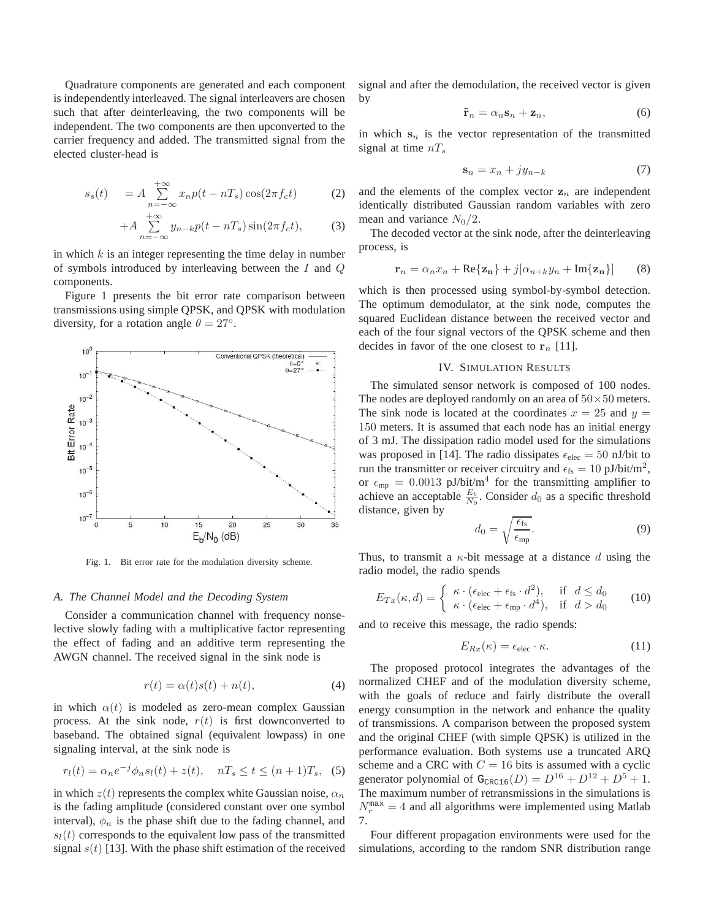Quadrature components are generated and each component is independently interleaved. The signal interleavers are chosen such that after deinterleaving, the two components will be independent. The two components are then upconverted to the carrier frequency and added. The transmitted signal from the elected cluster-head is

$$
s_s(t) = A \sum_{n=-\infty}^{+\infty} x_n p(t - nT_s) \cos(2\pi f_c t)
$$
 (2)

$$
+A\sum_{n=-\infty}^{+\infty}y_{n-k}p(t-nT_s)\sin(2\pi f_c t),\qquad(3)
$$

in which  $k$  is an integer representing the time delay in number of symbols introduced by interleaving between the  $I$  and  $Q$ components.

Figure 1 presents the bit error rate comparison between transmissions using simple QPSK, and QPSK with modulation diversity, for a rotation angle  $\theta = 27^\circ$ .



Fig. 1. Bit error rate for the modulation diversity scheme.

#### *A. The Channel Model and the Decoding System*

Consider a communication channel with frequency nonselective slowly fading with a multiplicative factor representing the effect of fading and an additive term representing the AWGN channel. The received signal in the sink node is

$$
r(t) = \alpha(t)s(t) + n(t),
$$
\n(4)

in which  $\alpha(t)$  is modeled as zero-mean complex Gaussian process. At the sink node,  $r(t)$  is first downconverted to baseband. The obtained signal (equivalent lowpass) in one signaling interval, at the sink node is

$$
r_l(t) = \alpha_n e^{-j} \phi_n s_l(t) + z(t), \quad nT_s \le t \le (n+1)T_s, \tag{5}
$$

in which  $z(t)$  represents the complex white Gaussian noise,  $\alpha_n$ is the fading amplitude (considered constant over one symbol interval),  $\phi_n$  is the phase shift due to the fading channel, and  $s_l(t)$  corresponds to the equivalent low pass of the transmitted signal  $s(t)$  [13]. With the phase shift estimation of the received signal and after the demodulation, the received vector is given by

$$
\tilde{\mathbf{r}}_n = \alpha_n \mathbf{s}_n + \mathbf{z}_n,\tag{6}
$$

in which  $s_n$  is the vector representation of the transmitted signal at time  $nT_s$ 

$$
\mathbf{s}_n = x_n + jy_{n-k} \tag{7}
$$

and the elements of the complex vector  $z_n$  are independent identically distributed Gaussian random variables with zero mean and variance  $N_0/2$ .

The decoded vector at the sink node, after the deinterleaving process, is

$$
\mathbf{r}_n = \alpha_n x_n + \text{Re}\{\mathbf{z_n}\} + j[\alpha_{n+k} y_n + \text{Im}\{\mathbf{z_n}\}] \qquad (8)
$$

which is then processed using symbol-by-symbol detection. The optimum demodulator, at the sink node, computes the squared Euclidean distance between the received vector and each of the four signal vectors of the QPSK scheme and then decides in favor of the one closest to  $r_n$  [11].

#### IV. SIMULATION RESULTS

The simulated sensor network is composed of 100 nodes. The nodes are deployed randomly on an area of  $50 \times 50$  meters. The sink node is located at the coordinates  $x = 25$  and  $y =$ 150 meters. It is assumed that each node has an initial energy of 3 mJ. The dissipation radio model used for the simulations was proposed in [14]. The radio dissipates  $\epsilon_{\text{elec}} = 50$  nJ/bit to run the transmitter or receiver circuitry and  $\epsilon_{\text{fs}} = 10 \text{ pJ/bit/m}^2$ , or  $\epsilon_{mp} = 0.0013 \text{ pJ/bit/m}^4$  for the transmitting amplifier to achieve an acceptable  $\frac{E_b}{N_0}$ . Consider  $d_0$  as a specific threshold distance, given by

$$
d_0 = \sqrt{\frac{\epsilon_{\text{fs}}}{\epsilon_{\text{mp}}}}.\tag{9}
$$

Thus, to transmit a  $\kappa$ -bit message at a distance d using the radio model, the radio spends

$$
E_{Tx}(\kappa, d) = \begin{cases} \kappa \cdot (\epsilon_{\text{elec}} + \epsilon_{\text{fs}} \cdot d^2), & \text{if } d \le d_0 \\ \kappa \cdot (\epsilon_{\text{elec}} + \epsilon_{\text{mp}} \cdot d^4), & \text{if } d > d_0 \end{cases} \tag{10}
$$

and to receive this message, the radio spends:

$$
E_{Rx}(\kappa) = \epsilon_{\text{elec}} \cdot \kappa. \tag{11}
$$

The proposed protocol integrates the advantages of the normalized CHEF and of the modulation diversity scheme, with the goals of reduce and fairly distribute the overall energy consumption in the network and enhance the quality of transmissions. A comparison between the proposed system and the original CHEF (with simple QPSK) is utilized in the performance evaluation. Both systems use a truncated ARQ scheme and a CRC with  $C = 16$  bits is assumed with a cyclic generator polynomial of  $G_{\text{CRC16}}(D) = D^{16} + D^{12} + D^5 + 1$ . The maximum number of retransmissions in the simulations is  $N_r^{\text{max}} = 4$  and all algorithms were implemented using Matlab 7.

Four different propagation environments were used for the simulations, according to the random SNR distribution range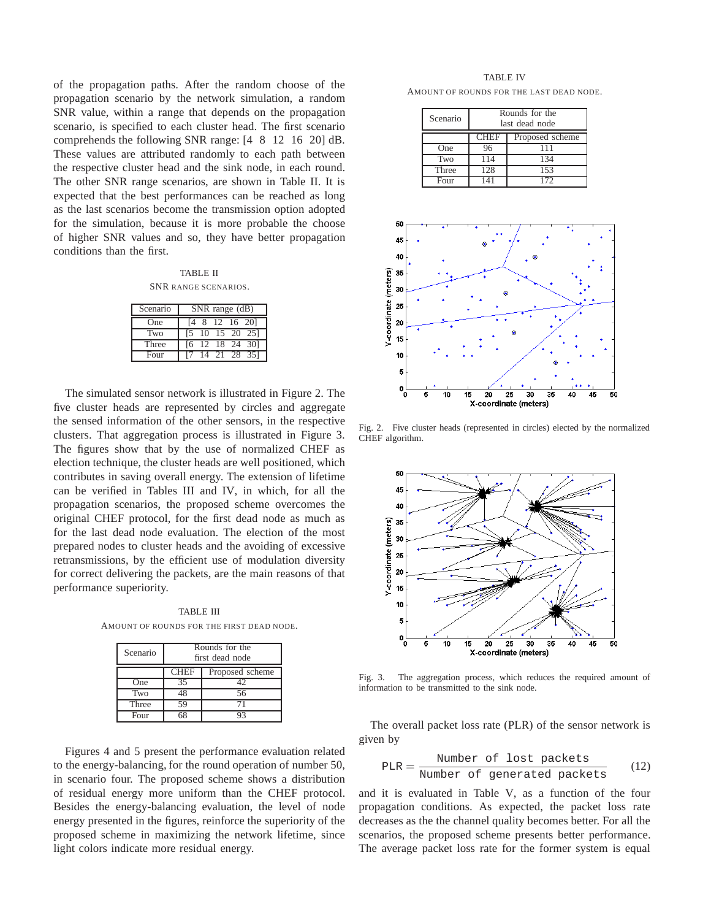of the propagation paths. After the random choose of the propagation scenario by the network simulation, a random SNR value, within a range that depends on the propagation scenario, is specified to each cluster head. The first scenario comprehends the following SNR range: [4 8 12 16 20] dB. These values are attributed randomly to each path between the respective cluster head and the sink node, in each round. The other SNR range scenarios, are shown in Table II. It is expected that the best performances can be reached as long as the last scenarios become the transmission option adopted for the simulation, because it is more probable the choose of higher SNR values and so, they have better propagation conditions than the first.

TABLE II SNR RANGE SCENARIOS.

| Scenario | SNR range (dB)     |  |  |
|----------|--------------------|--|--|
| One      | [4 8 12 16 20]     |  |  |
| Two      | 10 15 20 25<br>L5. |  |  |
| Three    | [6 12 18 24 30]    |  |  |
| Four     | 14 21 28 35]       |  |  |

The simulated sensor network is illustrated in Figure 2. The five cluster heads are represented by circles and aggregate the sensed information of the other sensors, in the respective clusters. That aggregation process is illustrated in Figure 3. The figures show that by the use of normalized CHEF as election technique, the cluster heads are well positioned, which contributes in saving overall energy. The extension of lifetime can be verified in Tables III and IV, in which, for all the propagation scenarios, the proposed scheme overcomes the original CHEF protocol, for the first dead node as much as for the last dead node evaluation. The election of the most prepared nodes to cluster heads and the avoiding of excessive retransmissions, by the efficient use of modulation diversity for correct delivering the packets, are the main reasons of that performance superiority.

TABLE III AMOUNT OF ROUNDS FOR THE FIRST DEAD NODE.

| Scenario            | Rounds for the<br>first dead node |                 |  |
|---------------------|-----------------------------------|-----------------|--|
|                     | <b>CHEF</b>                       | Proposed scheme |  |
| One                 | 35                                |                 |  |
| Two                 | 18                                | 56              |  |
| Three               | 59                                |                 |  |
| $_{\rm F\alpha nr}$ |                                   |                 |  |

Figures 4 and 5 present the performance evaluation related to the energy-balancing, for the round operation of number 50, in scenario four. The proposed scheme shows a distribution of residual energy more uniform than the CHEF protocol. Besides the energy-balancing evaluation, the level of node energy presented in the figures, reinforce the superiority of the proposed scheme in maximizing the network lifetime, since light colors indicate more residual energy.

TABLE IV AMOUNT OF ROUNDS FOR THE LAST DEAD NODE.

| Scenario | Rounds for the<br>last dead node |     |  |
|----------|----------------------------------|-----|--|
|          | <b>CHEF</b><br>Proposed scheme   |     |  |
| One      |                                  | 111 |  |
| Two      | 114                              | 134 |  |
| Three    | 128                              | 153 |  |
| Four     |                                  | 72  |  |



Fig. 2. Five cluster heads (represented in circles) elected by the normalized CHEF algorithm.



Fig. 3. The aggregation process, which reduces the required amount of information to be transmitted to the sink node.

The overall packet loss rate (PLR) of the sensor network is given by

$$
PLR = \frac{Number of lost packets}{Number of generated packets}
$$
 (12)

and it is evaluated in Table V, as a function of the four propagation conditions. As expected, the packet loss rate decreases as the the channel quality becomes better. For all the scenarios, the proposed scheme presents better performance. The average packet loss rate for the former system is equal